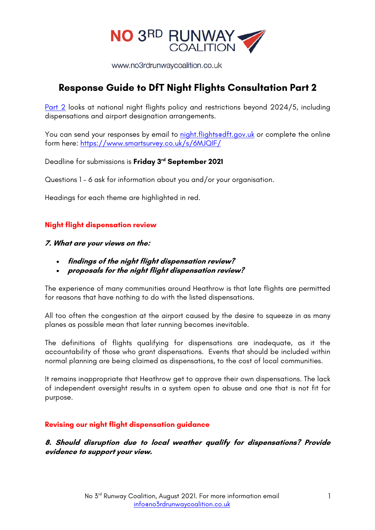

www.no3rdrunwaycoalition.co.uk

# **Response Guide to DfT Night Flights Consultation Part 2**

Part 2 looks at national night flights policy and restrictions beyond 2024/5, including dispensations and airport designation arrangements.

You can send your responses by email to night.flightsedft.gov.uk or complete the online form here: https://www.smartsurvey.co.uk/s/6MJQIF/

Deadline for submissions is **Friday 3rd September 2021**

Questions 1 – 6 ask for information about you and/or your organisation.

Headings for each theme are highlighted in red.

#### **Night flight dispensation review**

#### **7. What are your views on the:**

- **findings of the night flight dispensation review?**
- **proposals for the night flight dispensation review?**

The experience of many communities around Heathrow is that late flights are permitted for reasons that have nothing to do with the listed dispensations.

All too often the congestion at the airport caused by the desire to squeeze in as many planes as possible mean that later running becomes inevitable.

The definitions of flights qualifying for dispensations are inadequate, as it the accountability of those who grant dispensations. Events that should be included within normal planning are being claimed as dispensations, to the cost of local communities.

It remains inappropriate that Heathrow get to approve their own dispensations. The lack of independent oversight results in a system open to abuse and one that is not fit for purpose.

#### **Revising our night flight dispensation guidance**

**8. Should disruption due to local weather qualify for dispensations? Provide evidence to support your view.**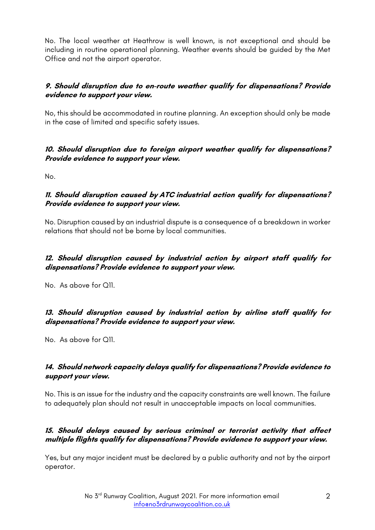No. The local weather at Heathrow is well known, is not exceptional and should be including in routine operational planning. Weather events should be guided by the Met Office and not the airport operator.

# **9. Should disruption due to en-route weather qualify for dispensations? Provide evidence to support your view.**

No, this should be accommodated in routine planning. An exception should only be made in the case of limited and specific safety issues.

# **10. Should disruption due to foreign airport weather qualify for dispensations? Provide evidence to support your view.**

No.

# **11. Should disruption caused by ATC industrial action qualify for dispensations? Provide evidence to support your view.**

No. Disruption caused by an industrial dispute is a consequence of a breakdown in worker relations that should not be borne by local communities.

# **12. Should disruption caused by industrial action by airport staff qualify for dispensations? Provide evidence to support your view.**

No. As above for Q11.

# **13. Should disruption caused by industrial action by airline staff qualify for dispensations? Provide evidence to support your view.**

No. As above for Q11.

# **14. Should network capacity delays qualify for dispensations? Provide evidence to support your view.**

No. This is an issue for the industry and the capacity constraints are well known. The failure to adequately plan should not result in unacceptable impacts on local communities.

# **15. Should delays caused by serious criminal or terrorist activity that affect multiple flights qualify for dispensations? Provide evidence to support your view.**

Yes, but any major incident must be declared by a public authority and not by the airport operator.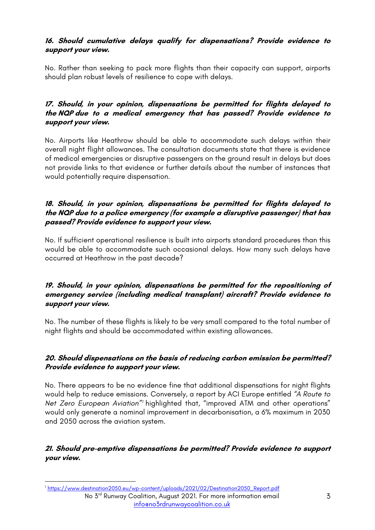# **16. Should cumulative delays qualify for dispensations? Provide evidence to support your view.**

No. Rather than seeking to pack more flights than their capacity can support, airports should plan robust levels of resilience to cope with delays.

### **17. Should, in your opinion, dispensations be permitted for flights delayed to the NQP due to a medical emergency that has passed? Provide evidence to support your view.**

No. Airports like Heathrow should be able to accommodate such delays within their overall night flight allowances. The consultation documents state that there is evidence of medical emergencies or disruptive passengers on the ground result in delays but does not provide links to that evidence or further details about the number of instances that would potentially require dispensation.

# **18. Should, in your opinion, dispensations be permitted for flights delayed to the NQP due to a police emergency (for example a disruptive passenger) that has passed? Provide evidence to support your view.**

No. If sufficient operational resilience is built into airports standard procedures than this would be able to accommodate such occasional delays. How many such delays have occurred at Heathrow in the past decade?

### **19. Should, in your opinion, dispensations be permitted for the repositioning of emergency service (including medical transplant) aircraft? Provide evidence to support your view.**

No. The number of these flights is likely to be very small compared to the total number of night flights and should be accommodated within existing allowances.

# **20. Should dispensations on the basis of reducing carbon emission be permitted? Provide evidence to support your view.**

No. There appears to be no evidence fine that additional dispensations for night flights would help to reduce emissions. Conversely, a report by ACI Europe entitled *"A Route to Net Zero European Aviation"1* highlighted that, "improved ATM and other operations" would only generate a nominal improvement in decarbonisation, a 6% maximum in 2030 and 2050 across the aviation system.

**21. Should pre-emptive dispensations be permitted? Provide evidence to support your view.**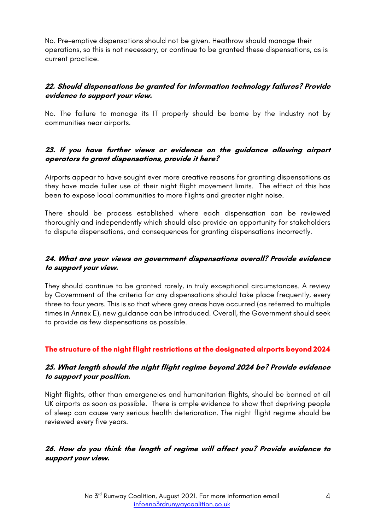No. Pre-emptive dispensations should not be given. Heathrow should manage their operations, so this is not necessary, or continue to be granted these dispensations, as is current practice.

# **22. Should dispensations be granted for information technology failures? Provide evidence to support your view.**

No. The failure to manage its IT properly should be borne by the industry not by communities near airports.

# **23. If you have further views or evidence on the guidance allowing airport operators to grant dispensations, provide it here?**

Airports appear to have sought ever more creative reasons for granting dispensations as they have made fuller use of their night flight movement limits. The effect of this has been to expose local communities to more flights and greater night noise.

There should be process established where each dispensation can be reviewed thoroughly and independently which should also provide an opportunity for stakeholders to dispute dispensations, and consequences for granting dispensations incorrectly.

# **24. What are your views on government dispensations overall? Provide evidence to support your view.**

They should continue to be granted rarely, in truly exceptional circumstances. A review by Government of the criteria for any dispensations should take place frequently, every three to four years. This is so that where grey areas have occurred (as referred to multiple times in Annex E), new guidance can be introduced. Overall, the Government should seek to provide as few dispensations as possible.

# **The structure of the night flight restrictions at the designated airports beyond 2024**

#### **25. What length should the night flight regime beyond 2024 be? Provide evidence to support your position.**

Night flights, other than emergencies and humanitarian flights, should be banned at all UK airports as soon as possible. There is ample evidence to show that depriving people of sleep can cause very serious health deterioration. The night flight regime should be reviewed every five years.

# **26. How do you think the length of regime will affect you? Provide evidence to support your view.**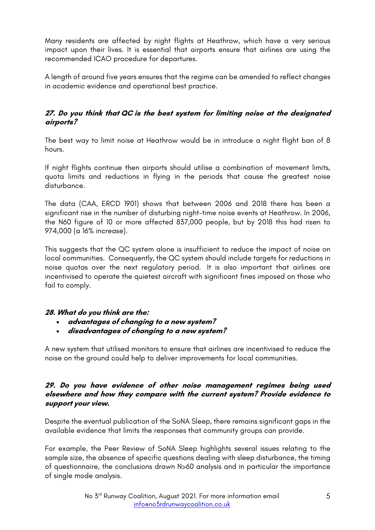Many residents are affected by night flights at Heathrow, which have a very serious impact upon their lives. It is essential that airports ensure that airlines are using the recommended ICAO procedure for departures.

A length of around five years ensures that the regime can be amended to reflect changes in academic evidence and operational best practice.

# **27. Do you think that QC is the best system for limiting noise at the designated airports?**

The best way to limit noise at Heathrow would be in introduce a night flight ban of 8 hours.

If night flights continue then airports should utilise a combination of movement limits, quota limits and reductions in flying in the periods that cause the greatest noise disturbance.

The data (CAA, ERCD 1901) shows that between 2006 and 2018 there has been a significant rise in the number of disturbing night-time noise events at Heathrow. In 2006, the N60 figure of 10 or more affected 837,000 people, but by 2018 this had risen to 974,000 (a 16% increase).

This suggests that the QC system alone is insufficient to reduce the impact of noise on local communities. Consequently, the QC system should include targets for reductions in noise quotas over the next regulatory period. It is also important that airlines are incentivised to operate the quietest aircraft with significant fines imposed on those who fail to comply.

# **28. What do you think are the:**

- **advantages of changing to a new system?**
- **disadvantages of changing to a new system?**

A new system that utilised monitors to ensure that airlines are incentivised to reduce the noise on the ground could help to deliver improvements for local communities.

#### **29. Do you have evidence of other noise management regimes being used elsewhere and how they compare with the current system? Provide evidence to support your view.**

Despite the eventual publication of the SoNA Sleep, there remains significant gaps in the available evidence that limits the responses that community groups can provide.

For example, the Peer Review of SoNA Sleep highlights several issues relating to the sample size, the absence of specific questions dealing with sleep disturbance, the timing of questionnaire, the conclusions drawn N>60 analysis and in particular the importance of single mode analysis.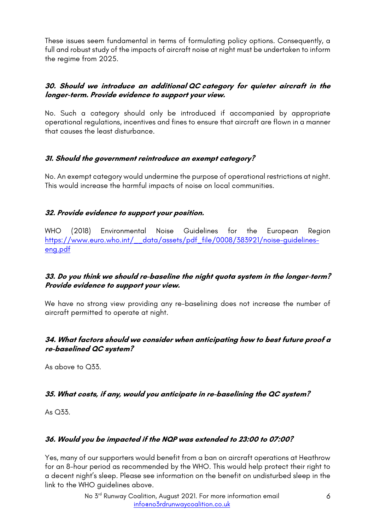These issues seem fundamental in terms of formulating policy options. Consequently, a full and robust study of the impacts of aircraft noise at night must be undertaken to inform the regime from 2025.

# **30. Should we introduce an additional QC category for quieter aircraft in the longer-term. Provide evidence to support your view.**

No. Such a category should only be introduced if accompanied by appropriate operational regulations, incentives and fines to ensure that aircraft are flown in a manner that causes the least disturbance.

#### **31. Should the government reintroduce an exempt category?**

No. An exempt category would undermine the purpose of operational restrictions at night. This would increase the harmful impacts of noise on local communities.

# **32. Provide evidence to support your position.**

WHO (2018) Environmental Noise Guidelines for the European Region https://www.euro.who.int/\_\_data/assets/pdf\_file/0008/383921/noise-guidelineseng.pdf

#### **33. Do you think we should re-baseline the night quota system in the longer-term? Provide evidence to support your view.**

We have no strong view providing any re-baselining does not increase the number of aircraft permitted to operate at night.

#### **34. What factors should we consider when anticipating how to best future proof a re-baselined QC system?**

As above to Q33.

# **35. What costs, if any, would you anticipate in re-baselining the QC system?**

As Q33.

# **36. Would you be impacted if the NQP was extended to 23:00 to 07:00?**

Yes, many of our supporters would benefit from a ban on aircraft operations at Heathrow for an 8-hour period as recommended by the WHO. This would help protect their right to a decent night's sleep. Please see information on the benefit on undisturbed sleep in the link to the WHO guidelines above.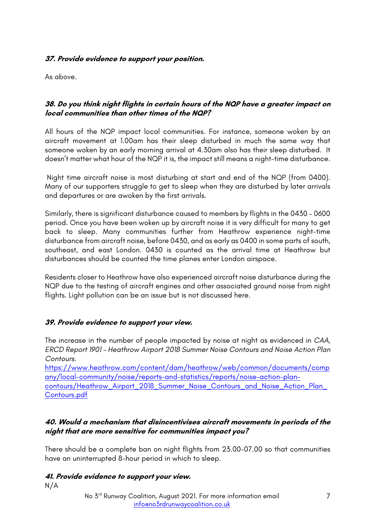# **37. Provide evidence to support your position.**

As above.

# **38. Do you think night flights in certain hours of the NQP have a greater impact on local communities than other times of the NQP?**

All hours of the NQP impact local communities. For instance, someone woken by an aircraft movement at 1.00am has their sleep disturbed in much the same way that someone woken by an early morning arrival at 4.30am also has their sleep disturbed. It doesn't matter what hour of the NQP it is, the impact still means a night-time disturbance.

Night time aircraft noise is most disturbing at start and end of the NQP (from 0400). Many of our supporters struggle to get to sleep when they are disturbed by later arrivals and departures or are awoken by the first arrivals.

Similarly, there is significant disturbance caused to members by flights in the 0430 – 0600 period. Once you have been woken up by aircraft noise it is very difficult for many to get back to sleep. Many communities further from Heathrow experience night-time disturbance from aircraft noise, before 0430, and as early as 0400 in some parts of south, southeast, and east London. 0430 is counted as the arrival time at Heathrow but disturbances should be counted the time planes enter London airspace.

Residents closer to Heathrow have also experienced aircraft noise disturbance during the NQP due to the testing of aircraft engines and other associated ground noise from night flights. Light pollution can be an issue but is not discussed here.

#### **39. Provide evidence to support your view.**

The increase in the number of people impacted by noise at night as evidenced in *CAA, ERCD Report 1901 – Heathrow Airport 2018 Summer Noise Contours and Noise Action Plan Contours.*

https://www.heathrow.com/content/dam/heathrow/web/common/documents/comp any/local-community/noise/reports-and-statistics/reports/noise-action-plancontours/Heathrow\_Airport\_2018\_Summer\_Noise\_Contours\_and\_Noise\_Action\_Plan\_ Contours.pdf

#### **40. Would a mechanism that disincentivises aircraft movements in periods of the night that are more sensitive for communities impact you?**

There should be a complete ban on night flights from 23.00-07.00 so that communities have an uninterrupted 8-hour period in which to sleep.

#### **41. Provide evidence to support your view.** N/A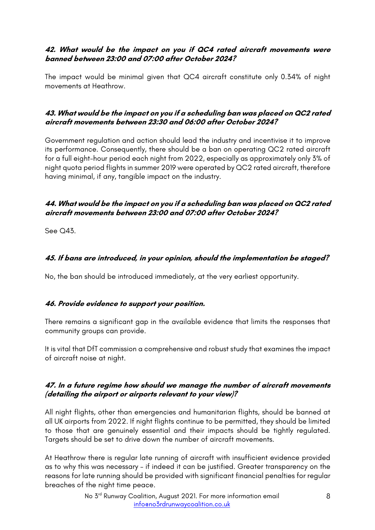# **42. What would be the impact on you if QC4 rated aircraft movements were banned between 23:00 and 07:00 after October 2024?**

The impact would be minimal given that QC4 aircraft constitute only 0.34% of night movements at Heathrow.

### **43. What would be the impact on you if a scheduling ban was placed on QC2 rated aircraft movements between 23:30 and 06:00 after October 2024?**

Government regulation and action should lead the industry and incentivise it to improve its performance. Consequently, there should be a ban on operating QC2 rated aircraft for a full eight-hour period each night from 2022, especially as approximately only 3% of night quota period flights in summer 2019 were operated by QC2 rated aircraft, therefore having minimal, if any, tangible impact on the industry.

# **44. What would be the impact on you if a scheduling ban was placed on QC2 rated aircraft movements between 23:00 and 07:00 after October 2024?**

See Q43.

# **45. If bans are introduced, in your opinion, should the implementation be staged?**

No, the ban should be introduced immediately, at the very earliest opportunity.

# **46. Provide evidence to support your position.**

There remains a significant gap in the available evidence that limits the responses that community groups can provide.

It is vital that DfT commission a comprehensive and robust study that examines the impact of aircraft noise at night.

# **47. In a future regime how should we manage the number of aircraft movements (detailing the airport or airports relevant to your view)?**

All night flights, other than emergencies and humanitarian flights, should be banned at all UK airports from 2022. If night flights continue to be permitted, they should be limited to those that are genuinely essential and their impacts should be tightly regulated. Targets should be set to drive down the number of aircraft movements.

At Heathrow there is regular late running of aircraft with insufficient evidence provided as to why this was necessary – if indeed it can be justified. Greater transparency on the reasons for late running should be provided with significant financial penalties for regular breaches of the night time peace.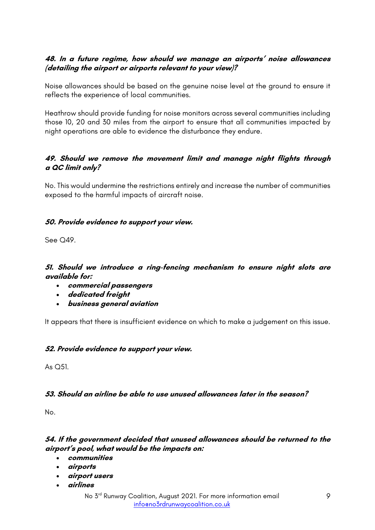# **48. In a future regime, how should we manage an airports' noise allowances (detailing the airport or airports relevant to your view)?**

Noise allowances should be based on the genuine noise level at the ground to ensure it reflects the experience of local communities.

Heathrow should provide funding for noise monitors across several communities including those 10, 20 and 30 miles from the airport to ensure that all communities impacted by night operations are able to evidence the disturbance they endure.

#### **49. Should we remove the movement limit and manage night flights through <sup>a</sup> QC limit only?**

No. This would undermine the restrictions entirely and increase the number of communities exposed to the harmful impacts of aircraft noise.

#### **50. Provide evidence to support your view.**

See O<sub>49</sub>

#### **51. Should we introduce a ring-fencing mechanism to ensure night slots are available for:**

- **commercial passengers**
- **dedicated freight**
- **business general aviation**

It appears that there is insufficient evidence on which to make a judgement on this issue.

#### **52. Provide evidence to support your view.**

As Q51.

# **53. Should an airline be able to use unused allowances later in the season?**

No.

# **54. If the government decided that unused allowances should be returned to the airport's pool, what would be the impacts on:**

- **communities**
- **airports**
- **airport users**
- **airlines**
	- No 3<sup>rd</sup> Runway Coalition, August 2021. For more information email info@no3rdrunwaycoalition.co.uk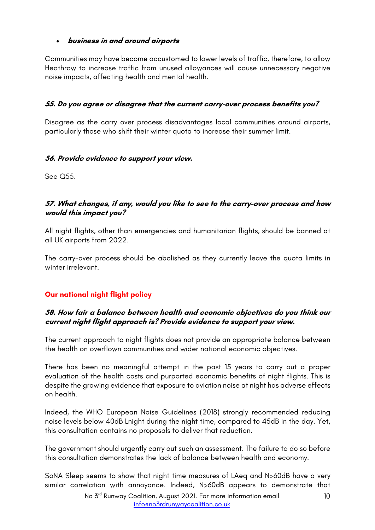# • **business in and around airports**

Communities may have become accustomed to lower levels of traffic, therefore, to allow Heathrow to increase traffic from unused allowances will cause unnecessary negative noise impacts, affecting health and mental health.

# **55. Do you agree or disagree that the current carry-over process benefits you?**

Disagree as the carry over process disadvantages local communities around airports, particularly those who shift their winter quota to increase their summer limit.

#### **56. Provide evidence to support your view.**

See Q55.

#### **57. What changes, if any, would you like to see to the carry-over process and how would this impact you?**

All night flights, other than emergencies and humanitarian flights, should be banned at all UK airports from 2022.

The carry-over process should be abolished as they currently leave the quota limits in winter irrelevant.

# **Our national night flight policy**

#### **58. How fair a balance between health and economic objectives do you think our current night flight approach is? Provide evidence to support your view.**

The current approach to night flights does not provide an appropriate balance between the health on overflown communities and wider national economic objectives.

There has been no meaningful attempt in the past 15 years to carry out a proper evaluation of the health costs and purported economic benefits of night flights. This is despite the growing evidence that exposure to aviation noise at night has adverse effects on health.

Indeed, the WHO European Noise Guidelines (2018) strongly recommended reducing noise levels below 40dB Lnight during the night time, compared to 45dB in the day. Yet, this consultation contains no proposals to deliver that reduction.

The government should urgently carry out such an assessment. The failure to do so before this consultation demonstrates the lack of balance between health and economy.

SoNA Sleep seems to show that night time measures of LAeq and N>60dB have a very similar correlation with annoyance. Indeed, N>60dB appears to demonstrate that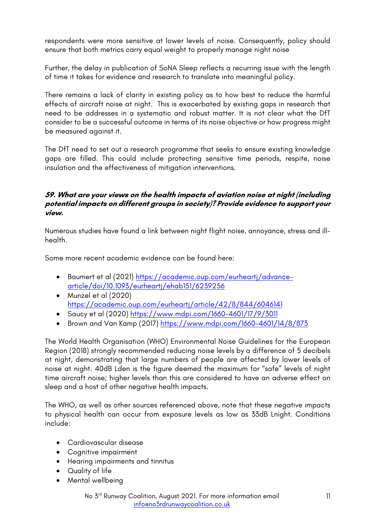respondents were more sensitive at lower levels of noise. Consequently, policy should ensure that both metrics carry equal weight to properly manage night noise

Further, the delay in publication of SoNA Sleep reflects a recurring issue with the length of time it takes for evidence and research to translate into meaningful policy.

There remains a lack of clarity in existing policy as to how best to reduce the harmful effects of aircraft noise at night. This is exacerbated by existing gaps in research that need to be addresses in a systematic and robust matter. It is not clear what the DfT consider to be a successful outcome in terms of its noise objective or how progress might be measured against it.

The DfT need to set out a research programme that seeks to ensure existing knowledge gaps are filled. This could include protecting sensitive time periods, respite, noise insulation and the effectiveness of mitigation interventions.

# **59. What are your views on the health impacts of aviation noise at night (including potential impacts on different groups in society)? Provide evidence to support your view.**

Numerous studies have found a link between night flight noise, annoyance, stress and illhealth.

Some more recent academic evidence can be found here:

- Baumert et al (2021) https://academic.oup.com/eurheartj/advancearticle/doi/10.1093/eurheartj/ehab151/6239256
- Munzel et al (2020) https://academic.oup.com/eurheartj/article/42/8/844/6046141
- Saucy et al (2020) https://www.mdpi.com/1660-4601/17/9/3011
- Brown and Van Kamp (2017) https://www.mdpi.com/1660-4601/14/8/873

The World Health Organisation (WHO) Environmental Noise Guidelines for the European Region (2018) strongly recommended reducing noise levels by a difference of 5 decibels at night, demonstrating that large numbers of people are affected by lower levels of noise at night. 40dB Lden is the figure deemed the maximum for "safe" levels of night time aircraft noise; higher levels than this are considered to have an adverse effect on sleep and a host of other negative health impacts.

The WHO, as well as other sources referenced above, note that these negative impacts to physical health can occur from exposure levels as low as 33dB Lnight. Conditions include:

- Cardiovascular disease
- Cognitive impairment
- Hearing impairments and tinnitus
- Quality of life
- Mental wellbeing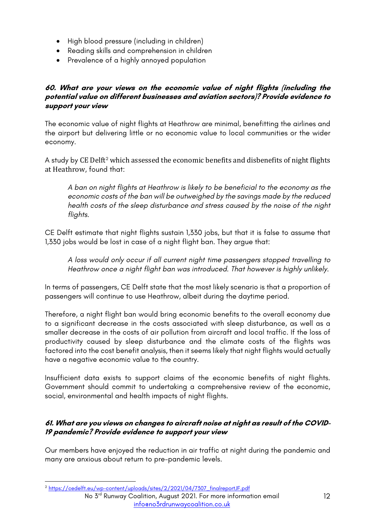- High blood pressure (including in children)
- Reading skills and comprehension in children
- Prevalence of a highly annoyed population

# **60. What are your views on the economic value of night flights (including the potential value on different businesses and aviation sectors)? Provide evidence to support your view**

The economic value of night flights at Heathrow are minimal, benefitting the airlines and the airport but delivering little or no economic value to local communities or the wider economy.

A study by CE Delft<sup>2</sup> which assessed the economic benefits and disbenefits of night flights at Heathrow, found that:

*A ban on night flights at Heathrow is likely to be beneficial to the economy as the economic costs of the ban will be outweighed by the savings made by the reduced health costs of the sleep disturbance and stress caused by the noise of the night flights.*

CE Delft estimate that night flights sustain 1,330 jobs, but that it is false to assume that 1,330 jobs would be lost in case of a night flight ban. They argue that:

*A loss would only occur if all current night time passengers stopped travelling to Heathrow once a night flight ban was introduced. That however is highly unlikely.*

In terms of passengers, CE Delft state that the most likely scenario is that a proportion of passengers will continue to use Heathrow, albeit during the daytime period.

Therefore, a night flight ban would bring economic benefits to the overall economy due to a significant decrease in the costs associated with sleep disturbance, as well as a smaller decrease in the costs of air pollution from aircraft and local traffic. If the loss of productivity caused by sleep disturbance and the climate costs of the flights was factored into the cost benefit analysis, then it seems likely that night flights would actually have a negative economic value to the country.

Insufficient data exists to support claims of the economic benefits of night flights. Government should commit to undertaking a comprehensive review of the economic, social, environmental and health impacts of night flights.

# **61. What are you views on changes to aircraft noise at night as result of the COVID-19 pandemic? Provide evidence to support your view**

Our members have enjoyed the reduction in air traffic at night during the pandemic and many are anxious about return to pre-pandemic levels.

<sup>2</sup> https://cedelft.eu/wp-content/uploads/sites/2/2021/04/7307\_finalreportJF.pdf

No 3<sup>rd</sup> Runway Coalition, August 2021. For more information email info@no3rdrunwaycoalition.co.uk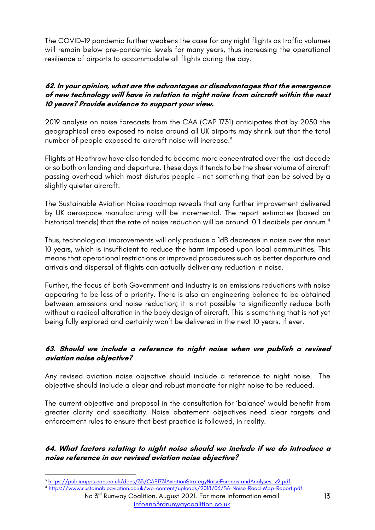The COVID-19 pandemic further weakens the case for any night flights as traffic volumes will remain below pre-pandemic levels for many years, thus increasing the operational resilience of airports to accommodate all flights during the day.

# **62. In your opinion, what are the advantages or disadvantages that the emergence of new technology will have in relation to night noise from aircraft within the next 10 years? Provide evidence to support your view.**

2019 analysis on noise forecasts from the CAA (CAP 1731) anticipates that by 2050 the geographical area exposed to noise around all UK airports may shrink but that the total number of people exposed to aircraft noise will increase.<sup>3</sup>

Flights at Heathrow have also tended to become more concentrated over the last decade or so both on landing and departure. These days it tends to be the sheer volume of aircraft passing overhead which most disturbs people – not something that can be solved by a slightly quieter aircraft.

The Sustainable Aviation Noise roadmap reveals that any further improvement delivered by UK aerospace manufacturing will be incremental. The report estimates (based on historical trends) that the rate of noise reduction will be around 0.1 decibels per annum.<sup>4</sup>

Thus, technological improvements will only produce a 1dB decrease in noise over the next 10 years, which is insufficient to reduce the harm imposed upon local communities. This means that operational restrictions or improved procedures such as better departure and arrivals and dispersal of flights can actually deliver any reduction in noise.

Further, the focus of both Government and industry is on emissions reductions with noise appearing to be less of a priority. There is also an engineering balance to be obtained between emissions and noise reduction; it is not possible to significantly reduce both without a radical alteration in the body design of aircraft. This is something that is not yet being fully explored and certainly won't be delivered in the next 10 years, if ever.

# **63. Should we include a reference to night noise when we publish a revised aviation noise objective?**

Any revised aviation noise objective should include a reference to night noise. The objective should include a clear and robust mandate for night noise to be reduced.

The current objective and proposal in the consultation for 'balance' would benefit from greater clarity and specificity. Noise abatement objectives need clear targets and enforcement rules to ensure that best practice is followed, in reality.

# **64. What factors relating to night noise should we include if we do introduce a noise reference in our revised aviation noise objective?**

No 3rd Runway Coalition, August 2021. For more information email <sup>4</sup> https://www.sustainableaviation.co.uk/wp-content/uploads/2018/06/SA-Noise-Road-Map-Report.pdf

<sup>&</sup>lt;sup>3</sup> https://publicapps.caa.co.uk/docs/33/CAP1731AviationStrategyNoiseForecastandAnalyses\_v2.pdf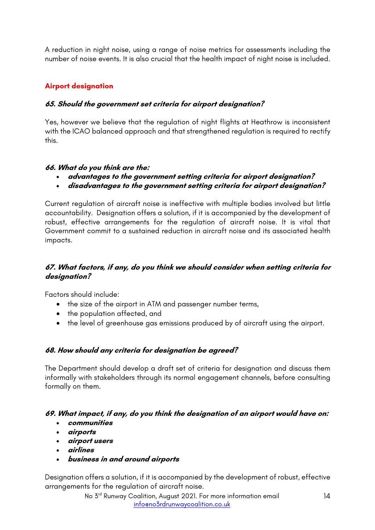A reduction in night noise, using a range of noise metrics for assessments including the number of noise events. It is also crucial that the health impact of night noise is included.

# **Airport designation**

# **65. Should the government set criteria for airport designation?**

Yes, however we believe that the regulation of night flights at Heathrow is inconsistent with the ICAO balanced approach and that strengthened regulation is required to rectify this.

# **66. What do you think are the:**

- **advantages to the government setting criteria for airport designation?**
- **disadvantages to the government setting criteria for airport designation?**

Current regulation of aircraft noise is ineffective with multiple bodies involved but little accountability. Designation offers a solution, if it is accompanied by the development of robust, effective arrangements for the regulation of aircraft noise. It is vital that Government commit to a sustained reduction in aircraft noise and its associated health impacts.

### **67. What factors, if any, do you think we should consider when setting criteria for designation?**

Factors should include:

- the size of the airport in ATM and passenger number terms,
- the population affected, and
- the level of greenhouse gas emissions produced by of aircraft using the airport.

# **68. How should any criteria for designation be agreed?**

The Department should develop a draft set of criteria for designation and discuss them informally with stakeholders through its normal engagement channels, before consulting formally on them.

# **69. What impact, if any, do you think the designation of an airport would have on:**

- **communities**
- **airports**
- **airport users**
- **airlines**
- **business in and around airports**

Designation offers a solution, if it is accompanied by the development of robust, effective arrangements for the regulation of aircraft noise.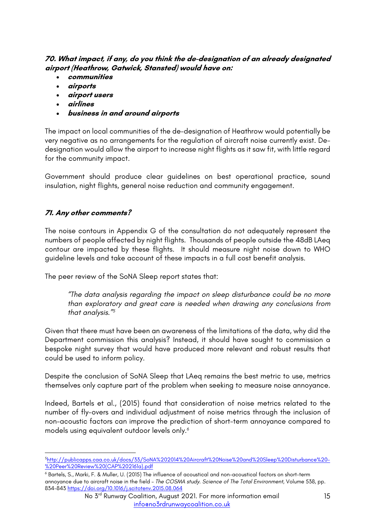# **70. What impact, if any, do you think the de-designation of an already designated airport (Heathrow, Gatwick, Stansted) would have on:**

- **communities**
- **airports**
- **airport users**
- **airlines**
- **business in and around airports**

The impact on local communities of the de-designation of Heathrow would potentially be very negative as no arrangements for the regulation of aircraft noise currently exist. Dedesignation would allow the airport to increase night flights as it saw fit, with little regard for the community impact.

Government should produce clear guidelines on best operational practice, sound insulation, night flights, general noise reduction and community engagement.

# **71. Any other comments?**

The noise contours in Appendix G of the consultation do not adequately represent the numbers of people affected by night flights. Thousands of people outside the 48dB LAeq contour are impacted by these flights. It should measure night noise down to WHO guideline levels and take account of these impacts in a full cost benefit analysis.

The peer review of the SoNA Sleep report states that:

*"The data analysis regarding the impact on sleep disturbance could be no more than exploratory and great care is needed when drawing any conclusions from that analysis."5*

Given that there must have been an awareness of the limitations of the data, why did the Department commission this analysis? Instead, it should have sought to commission a bespoke night survey that would have produced more relevant and robust results that could be used to inform policy.

Despite the conclusion of SoNA Sleep that LAeq remains the best metric to use, metrics themselves only capture part of the problem when seeking to measure noise annoyance.

Indeed, Bartels et al., (2015) found that consideration of noise metrics related to the number of fly-overs and individual adjustment of noise metrics through the inclusion of non-acoustic factors can improve the prediction of short-term annoyance compared to models using equivalent outdoor levels only.6

<sup>5</sup>http://publicapps.caa.co.uk/docs/33/SoNA%202014%20Aircraft%20Noise%20and%20Sleep%20Disturbance%20- %20Peer%20Review%20(CAP%202161a).pdf

<sup>6</sup> Bartels, S., Marki, F. & Muller, U. (2015) The influence of acoustical and non-acoustical factors on short-term annoyance due to aircraft noise in the field – *The COSMA study. Science of The Total Environment*, Volume 538, pp. 834-843 https://doi.org/10.1016/j.scitotenv.2015.08.064